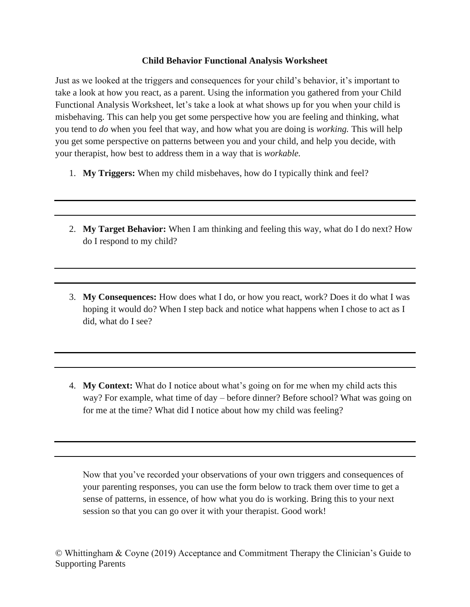## **Child Behavior Functional Analysis Worksheet**

Just as we looked at the triggers and consequences for your child's behavior, it's important to take a look at how you react, as a parent. Using the information you gathered from your Child Functional Analysis Worksheet, let's take a look at what shows up for you when your child is misbehaving. This can help you get some perspective how you are feeling and thinking, what you tend to *do* when you feel that way, and how what you are doing is *working.* This will help you get some perspective on patterns between you and your child, and help you decide, with your therapist, how best to address them in a way that is *workable.*

- 1. **My Triggers:** When my child misbehaves, how do I typically think and feel?
- 2. **My Target Behavior:** When I am thinking and feeling this way, what do I do next? How do I respond to my child?
- 3. **My Consequences:** How does what I do, or how you react, work? Does it do what I was hoping it would do? When I step back and notice what happens when I chose to act as I did, what do I see?
- 4. **My Context:** What do I notice about what's going on for me when my child acts this way? For example, what time of day – before dinner? Before school? What was going on for me at the time? What did I notice about how my child was feeling?

Now that you've recorded your observations of your own triggers and consequences of your parenting responses, you can use the form below to track them over time to get a sense of patterns, in essence, of how what you do is working. Bring this to your next session so that you can go over it with your therapist. Good work!

© Whittingham & Coyne (2019) Acceptance and Commitment Therapy the Clinician's Guide to Supporting Parents